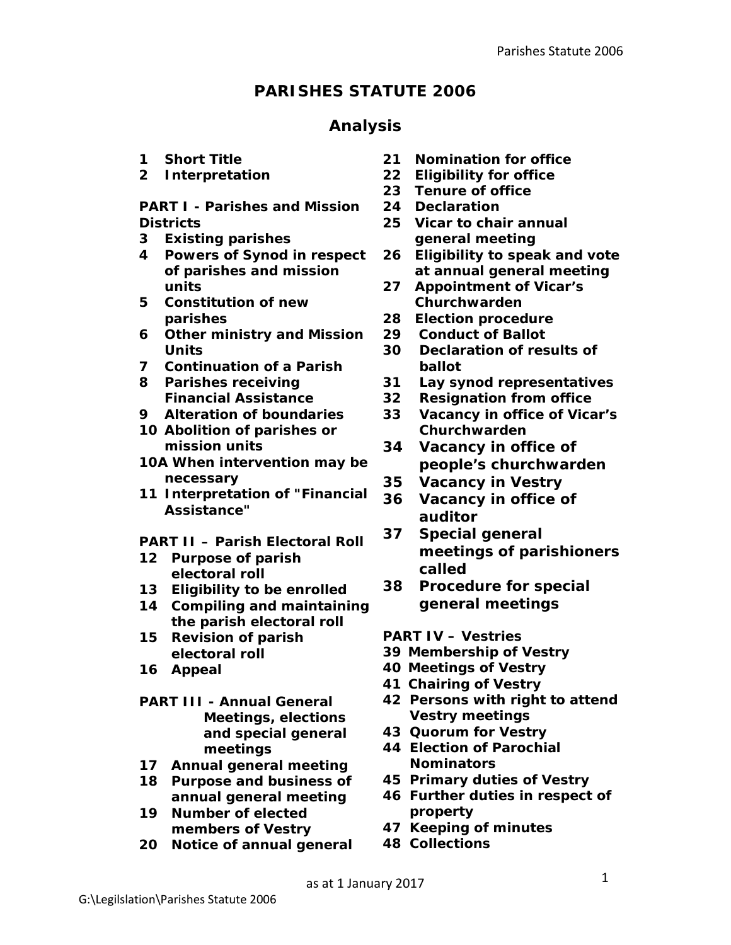# **PARISHES STATUTE 2006**

### **Analysis**

- **1 Short Title**
- **2 Interpretation**

**PART I - Parishes and Mission Districts**

- **3 Existing parishes**
- **4 Powers of Synod in respect of parishes and mission units**
- **5 Constitution of new parishes**
- **6 Other ministry and Mission Units**
- **7 Continuation of a Parish**
- **8 Parishes receiving Financial Assistance**
- **9 Alteration of boundaries**
- **10 Abolition of parishes or mission units**
- **10A When intervention may be necessary**
- **11 Interpretation of "Financial Assistance"**
- **PART II – Parish Electoral Roll**
- **12 Purpose of parish electoral roll**
- **13 Eligibility to be enrolled**
- **14 Compiling and maintaining the parish electoral roll**
- **15 Revision of parish electoral roll**
- **16 Appeal**
- **PART III - Annual General Meetings, elections and special general meetings**
- **17 Annual general meeting**
- **18 Purpose and business of annual general meeting**
- **19 Number of elected members of Vestry**
- **20 Notice of annual general**
- **21 Nomination for office**
- **22 Eligibility for office**
- **23 Tenure of office**
- **24 Declaration**
- **25 Vicar to chair annual general meeting**
- **26 Eligibility to speak and vote at annual general meeting**
- **27 Appointment of Vicar's Churchwarden**
- **28 Election procedure**
- **29 Conduct of Ballot**
- **30 Declaration of results of ballot**
- **31 Lay synod representatives**
- **32 Resignation from office**
- **33 Vacancy in office of Vicar's Churchwarden**
- **34 Vacancy in office of people's churchwarden**
- **35 Vacancy in Vestry**
- **36 Vacancy in office of auditor**
- **37 Special general meetings of parishioners called**
- **38 Procedure for special general meetings**

**PART IV – Vestries**

- **39 Membership of Vestry**
- **40 Meetings of Vestry**
- **41 Chairing of Vestry**
- **42 Persons with right to attend Vestry meetings**
- **43 Quorum for Vestry**
- **44 Election of Parochial Nominators**
- **45 Primary duties of Vestry**
- **46 Further duties in respect of property**
- **47 Keeping of minutes**
- **48 Collections**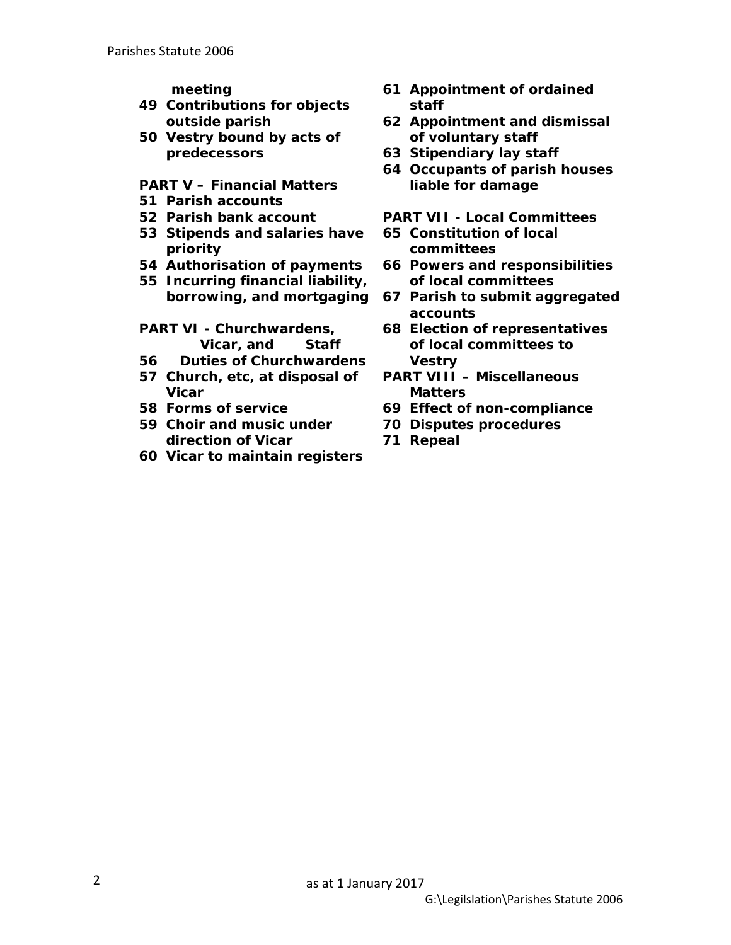**meeting**

- **49 Contributions for objects outside parish**
- **50 Vestry bound by acts of predecessors**

#### **PART V – Financial Matters**

- **51 Parish accounts**
- **52 Parish bank account**
- **53 Stipends and salaries have priority**
- **54 Authorisation of payments**
- **55 Incurring financial liability,**
- **PART VI - Churchwardens, Vicar, and Staff**
- **56 Duties of Churchwardens**
- **57 Church, etc, at disposal of Vicar**
- **58 Forms of service**
- **59 Choir and music under direction of Vicar**
- **60 Vicar to maintain registers**
- **61 Appointment of ordained staff**
- **62 Appointment and dismissal of voluntary staff**
- **63 Stipendiary lay staff**
- **64 Occupants of parish houses liable for damage**
- **PART VII - Local Committees**
- **65 Constitution of local committees**
- **66 Powers and responsibilities of local committees**
- **borrowing, and mortgaging 67 Parish to submit aggregated accounts**
	- **68 Election of representatives of local committees to Vestry**
	- **PART VIII – Miscellaneous Matters**
	- **69 Effect of non-compliance**
	- **70 Disputes procedures**
	- **71 Repeal**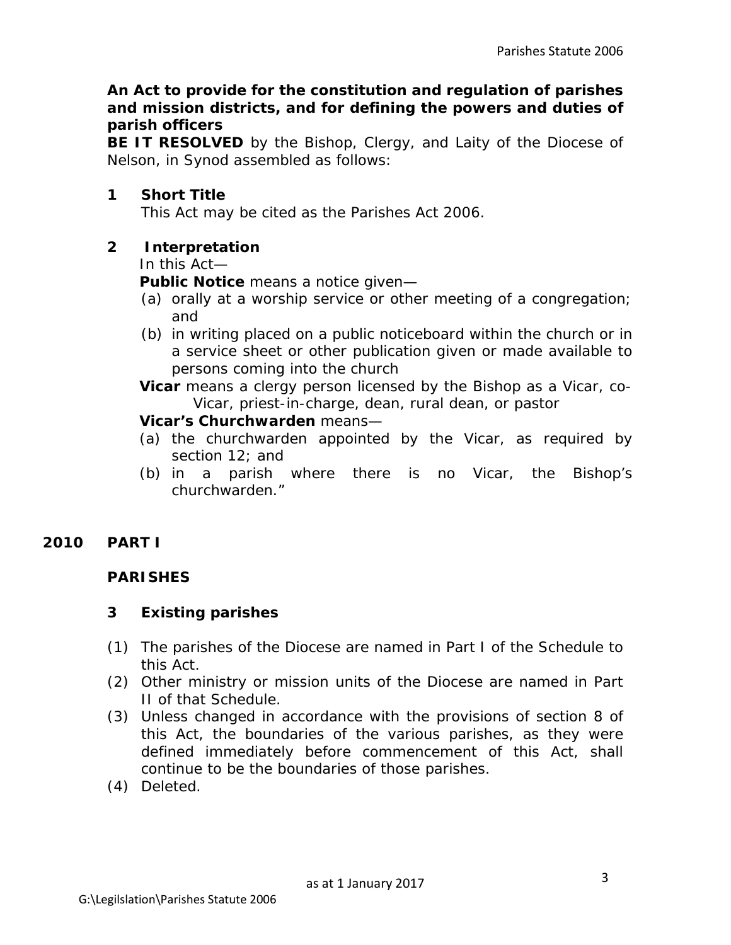#### **An Act to provide for the constitution and regulation of parishes and mission districts, and for defining the powers and duties of parish officers**

**BE IT RESOLVED** by the Bishop, Clergy, and Laity of the Diocese of Nelson, in Synod assembled as follows:

### **1 Short Title**

This Act may be cited as the Parishes Act 2006.

### **2 Interpretation**

In this Act—

**Public Notice** means a notice given—

- (a) orally at a worship service or other meeting of a congregation; and
- (b) in writing placed on a public noticeboard within the church or in a service sheet or other publication given or made available to persons coming into the church

**Vicar** means a clergy person licensed by the Bishop as a Vicar, co-Vicar, priest-in-charge, dean, rural dean, or pastor

#### **Vicar's Churchwarden** means—

- (a) the churchwarden appointed by the Vicar, as required by section 12; and
- (b) in a parish where there is no Vicar, the Bishop's churchwarden."

### **2010 PART I**

#### **PARISHES**

#### **3 Existing parishes**

- (1) The parishes of the Diocese are named in Part I of the Schedule to this Act.
- (2) Other ministry or mission units of the Diocese are named in Part II of that Schedule.
- (3) Unless changed in accordance with the provisions of section 8 of this Act, the boundaries of the various parishes, as they were defined immediately before commencement of this Act, shall continue to be the boundaries of those parishes.
- (4) *Deleted*.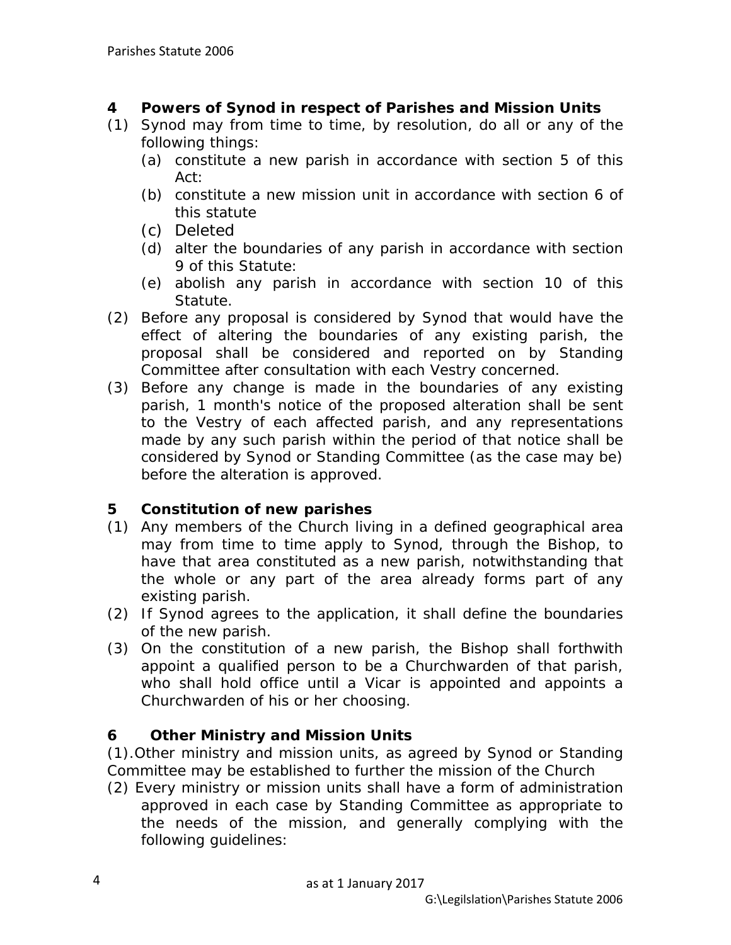### **4 Powers of Synod in respect of Parishes and Mission Units**

- (1) Synod may from time to time, by resolution, do all or any of the following things:
	- (a) constitute a new parish in accordance with section 5 of this Act:
	- (b) constitute a new mission unit in accordance with section 6 of this statute
	- (c) *Deleted*
	- (d) alter the boundaries of any parish in accordance with section 9 of this Statute:
	- (e) abolish any parish in accordance with section 10 of this Statute.
- (2) Before any proposal is considered by Synod that would have the effect of altering the boundaries of any existing parish, the proposal shall be considered and reported on by Standing Committee after consultation with each Vestry concerned.
- (3) Before any change is made in the boundaries of any existing parish, 1 month's notice of the proposed alteration shall be sent to the Vestry of each affected parish, and any representations made by any such parish within the period of that notice shall be considered by Synod or Standing Committee (as the case may be) before the alteration is approved.

### **5 Constitution of new parishes**

- (1) Any members of the Church living in a defined geographical area may from time to time apply to Synod, through the Bishop, to have that area constituted as a new parish, notwithstanding that the whole or any part of the area already forms part of any existing parish.
- (2) If Synod agrees to the application, it shall define the boundaries of the new parish.
- (3) On the constitution of a new parish, the Bishop shall forthwith appoint a qualified person to be a Churchwarden of that parish, who shall hold office until a Vicar is appointed and appoints a Churchwarden of his or her choosing.

### **6 Other Ministry and Mission Units**

(1).Other ministry and mission units, as agreed by Synod or Standing Committee may be established to further the mission of the Church

(2) Every ministry or mission units shall have a form of administration approved in each case by Standing Committee as appropriate to the needs of the mission, and generally complying with the following guidelines: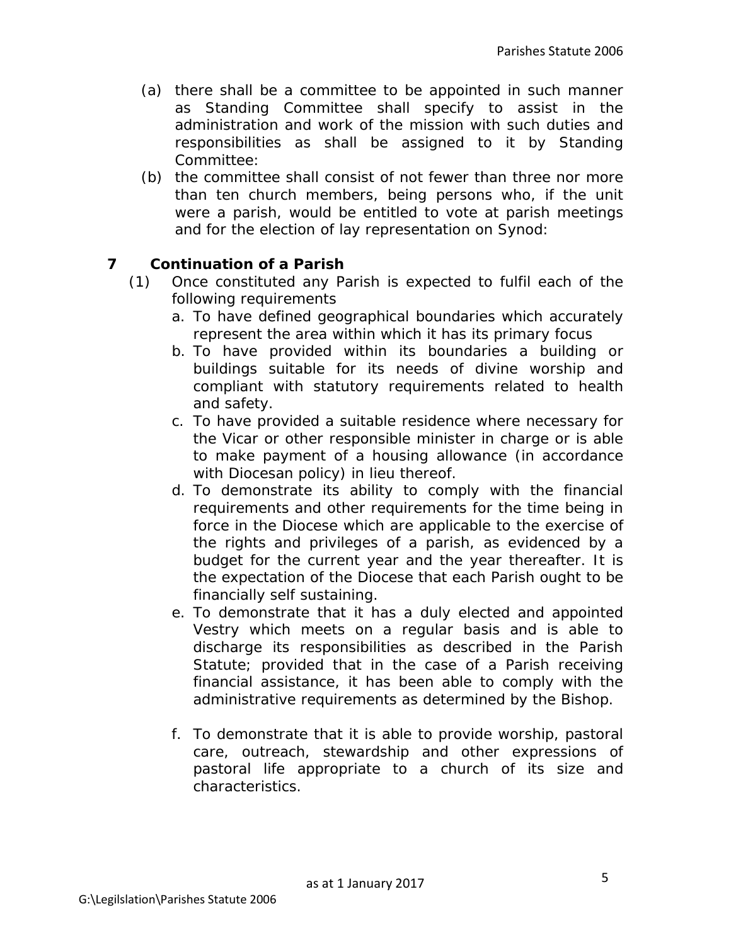- (a) there shall be a committee to be appointed in such manner as Standing Committee shall specify to assist in the administration and work of the mission with such duties and responsibilities as shall be assigned to it by Standing Committee:
- (b) the committee shall consist of not fewer than three nor more than ten church members, being persons who, if the unit were a parish, would be entitled to vote at parish meetings and for the election of lay representation on Synod:

### **7 Continuation of a Parish**

- (1) Once constituted any Parish is expected to fulfil each of the following requirements
	- a. To have defined geographical boundaries which accurately represent the area within which it has its primary focus
	- b. To have provided within its boundaries a building or buildings suitable for its needs of divine worship and compliant with statutory requirements related to health and safety.
	- c. To have provided a suitable residence where necessary for the Vicar or other responsible minister in charge or is able to make payment of a housing allowance (in accordance with Diocesan policy) in lieu thereof.
	- d. To demonstrate its ability to comply with the financial requirements and other requirements for the time being in force in the Diocese which are applicable to the exercise of the rights and privileges of a parish, as evidenced by a budget for the current year and the year thereafter. It is the expectation of the Diocese that each Parish ought to be financially self sustaining.
	- e. To demonstrate that it has a duly elected and appointed Vestry which meets on a regular basis and is able to discharge its responsibilities as described in the Parish Statute; provided that in the case of a Parish receiving financial assistance, it has been able to comply with the administrative requirements as determined by the Bishop.
	- f. To demonstrate that it is able to provide worship, pastoral care, outreach, stewardship and other expressions of pastoral life appropriate to a church of its size and characteristics.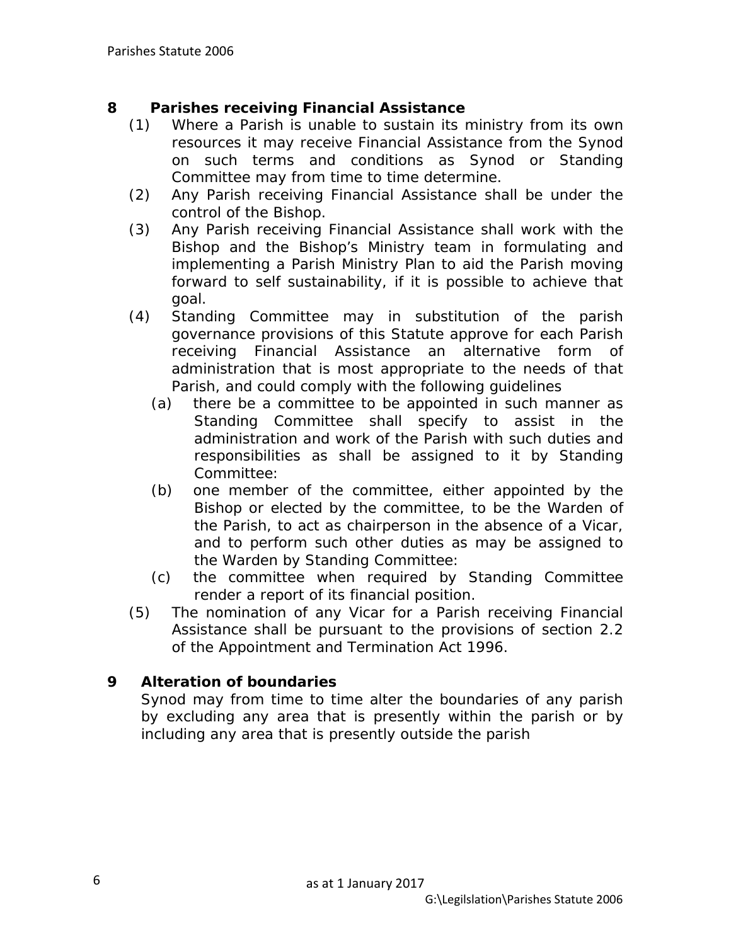### **8 Parishes receiving Financial Assistance**

- (1) Where a Parish is unable to sustain its ministry from its own resources it may receive Financial Assistance from the Synod on such terms and conditions as Synod or Standing Committee may from time to time determine.
- (2) Any Parish receiving Financial Assistance shall be under the control of the Bishop.
- (3) Any Parish receiving Financial Assistance shall work with the Bishop and the Bishop's Ministry team in formulating and implementing a Parish Ministry Plan to aid the Parish moving forward to self sustainability, if it is possible to achieve that goal.
- (4) Standing Committee may in substitution of the parish governance provisions of this Statute approve for each Parish receiving Financial Assistance an alternative form of administration that is most appropriate to the needs of that Parish, and could comply with the following guidelines
	- (a) there be a committee to be appointed in such manner as Standing Committee shall specify to assist in the administration and work of the Parish with such duties and responsibilities as shall be assigned to it by Standing Committee:
	- (b) one member of the committee, either appointed by the Bishop or elected by the committee, to be the Warden of the Parish, to act as chairperson in the absence of a Vicar, and to perform such other duties as may be assigned to the Warden by Standing Committee:
	- (c) the committee when required by Standing Committee render a report of its financial position.
- (5) The nomination of any Vicar for a Parish receiving Financial Assistance shall be pursuant to the provisions of section 2.2 of the Appointment and Termination Act 1996.

### **9 Alteration of boundaries**

Synod may from time to time alter the boundaries of any parish by excluding any area that is presently within the parish or by including any area that is presently outside the parish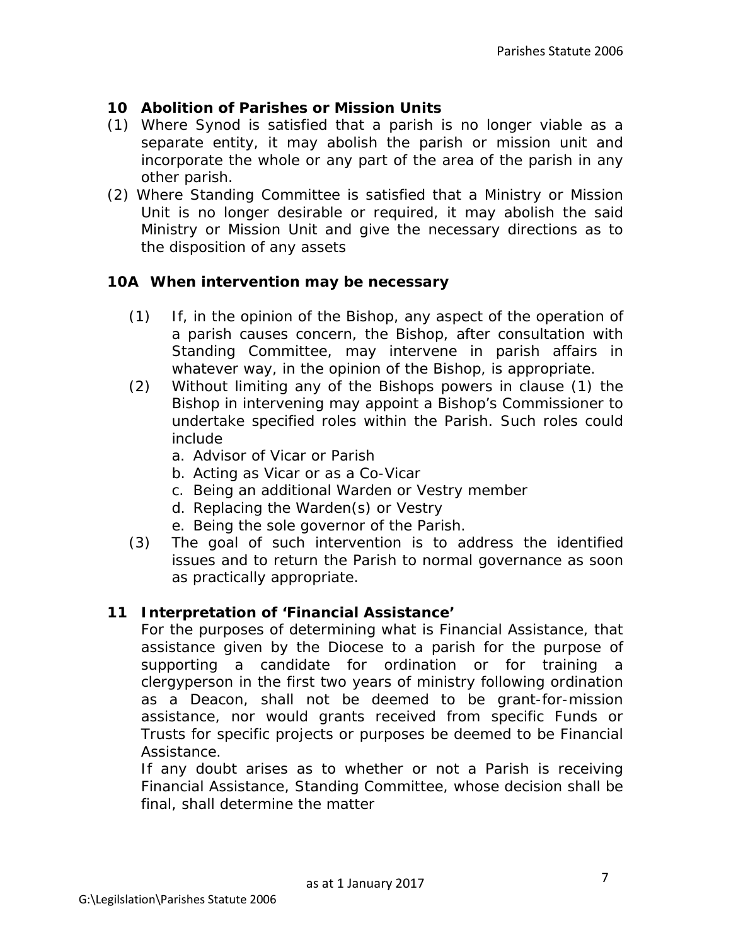### **10 Abolition of Parishes or Mission Units**

- (1) Where Synod is satisfied that a parish is no longer viable as a separate entity, it may abolish the parish or mission unit and incorporate the whole or any part of the area of the parish in any other parish.
- (2) Where Standing Committee is satisfied that a Ministry or Mission Unit is no longer desirable or required, it may abolish the said Ministry or Mission Unit and give the necessary directions as to the disposition of any assets

#### **10A When intervention may be necessary**

- (1) If, in the opinion of the Bishop, any aspect of the operation of a parish causes concern, the Bishop, after consultation with Standing Committee, may intervene in parish affairs in whatever way, in the opinion of the Bishop, is appropriate.
- (2) Without limiting any of the Bishops powers in clause (1) the Bishop in intervening may appoint a Bishop's Commissioner to undertake specified roles within the Parish. Such roles could include
	- a. Advisor of Vicar or Parish
	- b. Acting as Vicar or as a Co-Vicar
	- c. Being an additional Warden or Vestry member
	- d. Replacing the Warden(s) or Vestry
	- e. Being the sole governor of the Parish.
- (3) The goal of such intervention is to address the identified issues and to return the Parish to normal governance as soon as practically appropriate.

#### **11 Interpretation of 'Financial Assistance'**

For the purposes of determining what is Financial Assistance, that assistance given by the Diocese to a parish for the purpose of supporting a candidate for ordination or for training a clergyperson in the first two years of ministry following ordination as a Deacon, shall not be deemed to be grant-for-mission assistance, nor would grants received from specific Funds or Trusts for specific projects or purposes be deemed to be Financial Assistance.

If any doubt arises as to whether or not a Parish is receiving Financial Assistance, Standing Committee, whose decision shall be final, shall determine the matter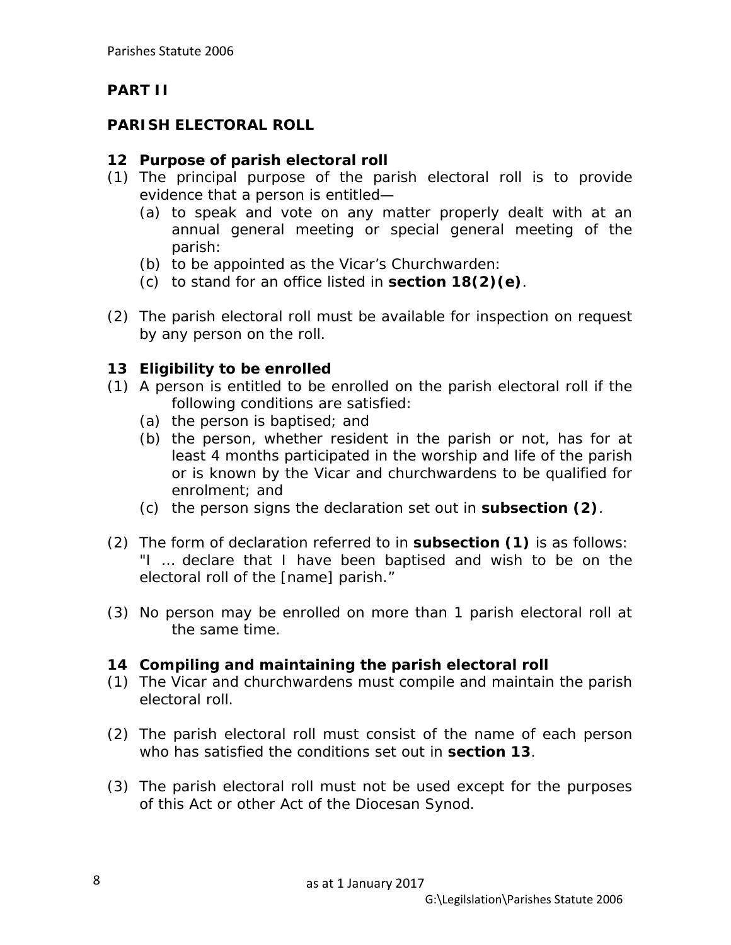# **PART II**

# **PARISH ELECTORAL ROLL**

## **12 Purpose of parish electoral roll**

- (1) The principal purpose of the parish electoral roll is to provide evidence that a person is entitled—
	- (a) to speak and vote on any matter properly dealt with at an annual general meeting or special general meeting of the parish:
	- (b) to be appointed as the Vicar's Churchwarden:
	- (c) to stand for an office listed in **section 18(2)(e)**.
- (2) The parish electoral roll must be available for inspection on request by any person on the roll.

## **13 Eligibility to be enrolled**

- (1) A person is entitled to be enrolled on the parish electoral roll if the following conditions are satisfied:
	- (a) the person is baptised; and
	- (b) the person, whether resident in the parish or not, has for at least 4 months participated in the worship and life of the parish or is known by the Vicar and churchwardens to be qualified for enrolment; and
	- (c) the person signs the declaration set out in **subsection (2)**.
- (2) The form of declaration referred to in **subsection (1)** is as follows: "I … declare that I have been baptised and wish to be on the electoral roll of the [name] parish."
- (3) No person may be enrolled on more than 1 parish electoral roll at the same time.

# **14 Compiling and maintaining the parish electoral roll**

- (1) The Vicar and churchwardens must compile and maintain the parish electoral roll.
- (2) The parish electoral roll must consist of the name of each person who has satisfied the conditions set out in **section 13**.
- (3) The parish electoral roll must not be used except for the purposes of this Act or other Act of the Diocesan Synod.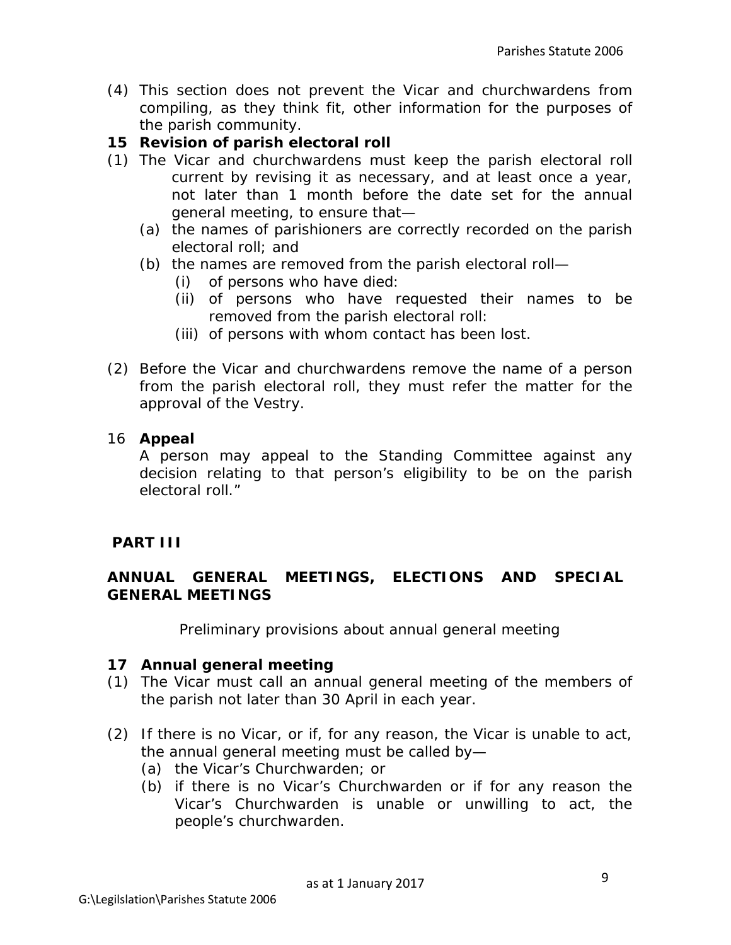(4) This section does not prevent the Vicar and churchwardens from compiling, as they think fit, other information for the purposes of the parish community.

### **15 Revision of parish electoral roll**

- (1) The Vicar and churchwardens must keep the parish electoral roll current by revising it as necessary, and at least once a year, not later than 1 month before the date set for the annual general meeting, to ensure that—
	- (a) the names of parishioners are correctly recorded on the parish electoral roll; and
	- (b) the names are removed from the parish electoral roll—
		- (i) of persons who have died:
		- (ii) of persons who have requested their names to be removed from the parish electoral roll:
		- (iii) of persons with whom contact has been lost.
- (2) Before the Vicar and churchwardens remove the name of a person from the parish electoral roll, they must refer the matter for the approval of the Vestry.

### 16 **Appeal**

A person may appeal to the Standing Committee against any decision relating to that person's eligibility to be on the parish electoral roll."

### **PART III**

### **ANNUAL GENERAL MEETINGS, ELECTIONS AND SPECIAL GENERAL MEETINGS**

*Preliminary provisions about annual general meeting*

### **17 Annual general meeting**

- (1) The Vicar must call an annual general meeting of the members of the parish not later than 30 April in each year.
- (2) If there is no Vicar, or if, for any reason, the Vicar is unable to act, the annual general meeting must be called by—
	- (a) the Vicar's Churchwarden; or
	- (b) if there is no Vicar's Churchwarden or if for any reason the Vicar's Churchwarden is unable or unwilling to act, the people's churchwarden.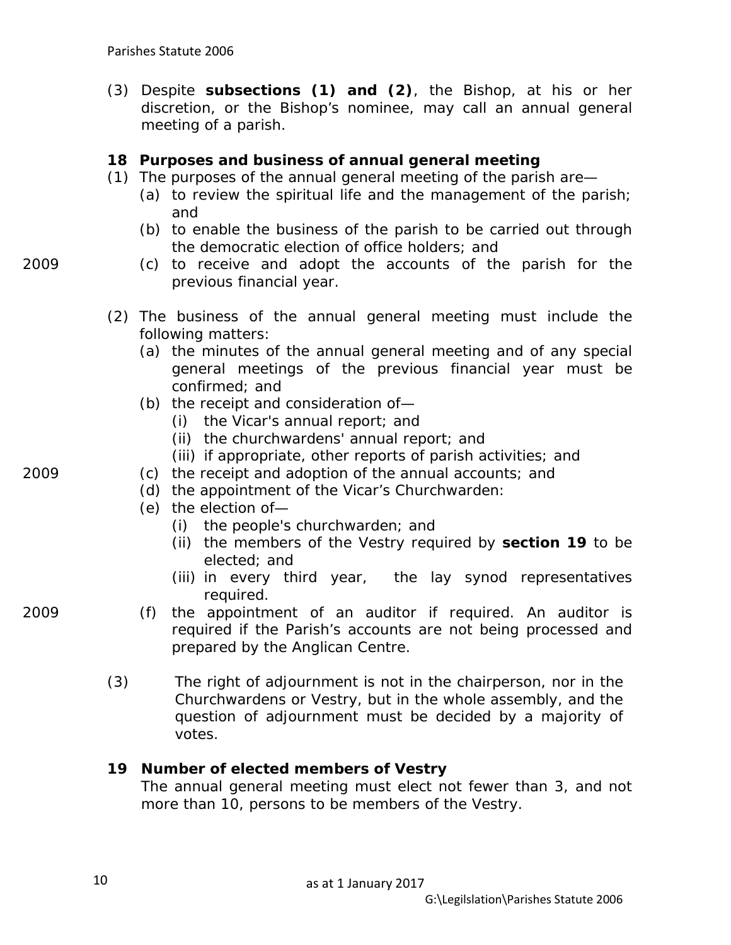(3) Despite **subsections (1) and (2)**, the Bishop, at his or her discretion, or the Bishop's nominee, may call an annual general meeting of a parish.

#### **18 Purposes and business of annual general meeting**

- (1) The purposes of the annual general meeting of the parish are—
	- (a) to review the spiritual life and the management of the parish; and
	- (b) to enable the business of the parish to be carried out through the democratic election of office holders; and
- 2009 (c) to receive and adopt the accounts of the parish for the previous financial year.
	- (2) The business of the annual general meeting must include the following matters:
		- (a) the minutes of the annual general meeting and of any special general meetings of the previous financial year must be confirmed; and
		- (b) the receipt and consideration of—
			- (i) the Vicar's annual report; and
			- (ii) the churchwardens' annual report; and
			- (iii) if appropriate, other reports of parish activities; and
- 2009 (c) the receipt and adoption of the annual accounts; and
	- (d) the appointment of the Vicar's Churchwarden:
	- (e) the election of—
		- (i) the people's churchwarden; and
		- (ii) the members of the Vestry required by **section 19** to be elected; and
		- (iii) in every third year, the lay synod representatives required.
- 2009 (f) the appointment of an auditor if required. An auditor is required if the Parish's accounts are not being processed and prepared by the Anglican Centre.
	- (3) The right of adjournment is not in the chairperson, nor in the Churchwardens or Vestry, but in the whole assembly, and the question of adjournment must be decided by a majority of votes.

#### **19 Number of elected members of Vestry**

The annual general meeting must elect not fewer than 3, and not more than 10, persons to be members of the Vestry.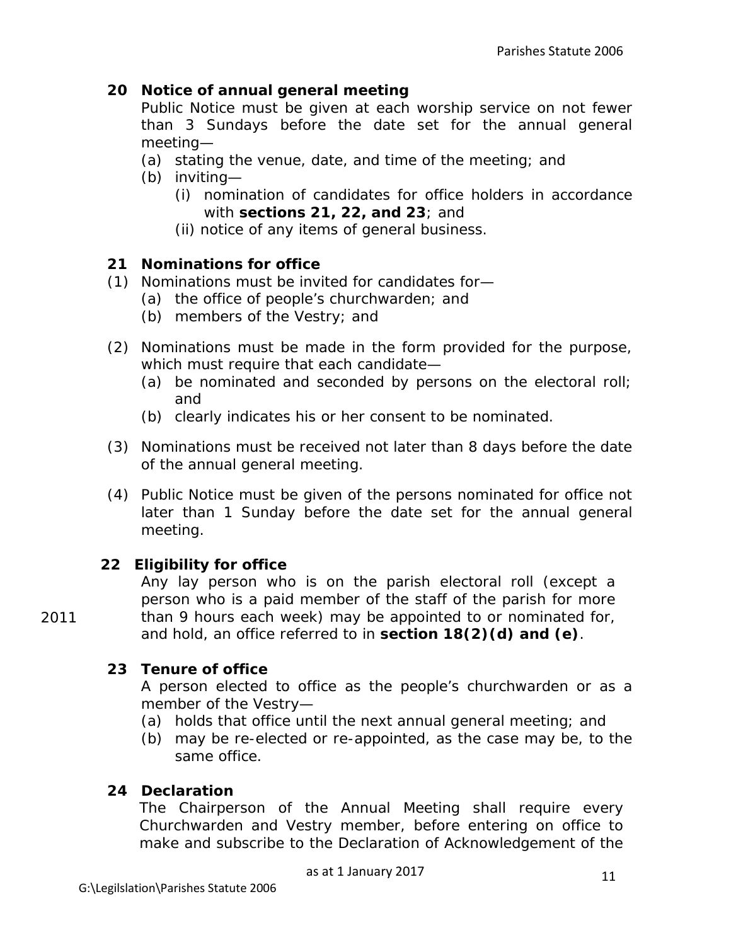### **20 Notice of annual general meeting**

Public Notice must be given at each worship service on not fewer than 3 Sundays before the date set for the annual general meeting—

- (a) stating the venue, date, and time of the meeting; and
- (b) inviting—
	- (i) nomination of candidates for office holders in accordance with **sections 21, 22, and 23**; and
	- (ii) notice of any items of general business.

### **21 Nominations for office**

- (1) Nominations must be invited for candidates for—
	- (a) the office of people's churchwarden; and
	- (b) members of the Vestry; and
- (2) Nominations must be made in the form provided for the purpose, which must require that each candidate—
	- (a) be nominated and seconded by persons on the electoral roll; and
	- (b) clearly indicates his or her consent to be nominated.
- (3) Nominations must be received not later than 8 days before the date of the annual general meeting.
- (4) Public Notice must be given of the persons nominated for office not later than 1 Sunday before the date set for the annual general meeting.

### **22 Eligibility for office**

Any lay person who is on the parish electoral roll (except a person who is a paid member of the staff of the parish for more than 9 hours each week) may be appointed to or nominated for, and hold, an office referred to in **section 18(2)(d) and (e)**.

### **23 Tenure of office**

A person elected to office as the people's churchwarden or as a member of the Vestry—

- (a) holds that office until the next annual general meeting; and
- (b) may be re-elected or re-appointed, as the case may be, to the same office.

### **24 Declaration**

The Chairperson of the Annual Meeting shall require every Churchwarden and Vestry member, before entering on office to make and subscribe to the Declaration of Acknowledgement of the

as at 1 January 2017

2011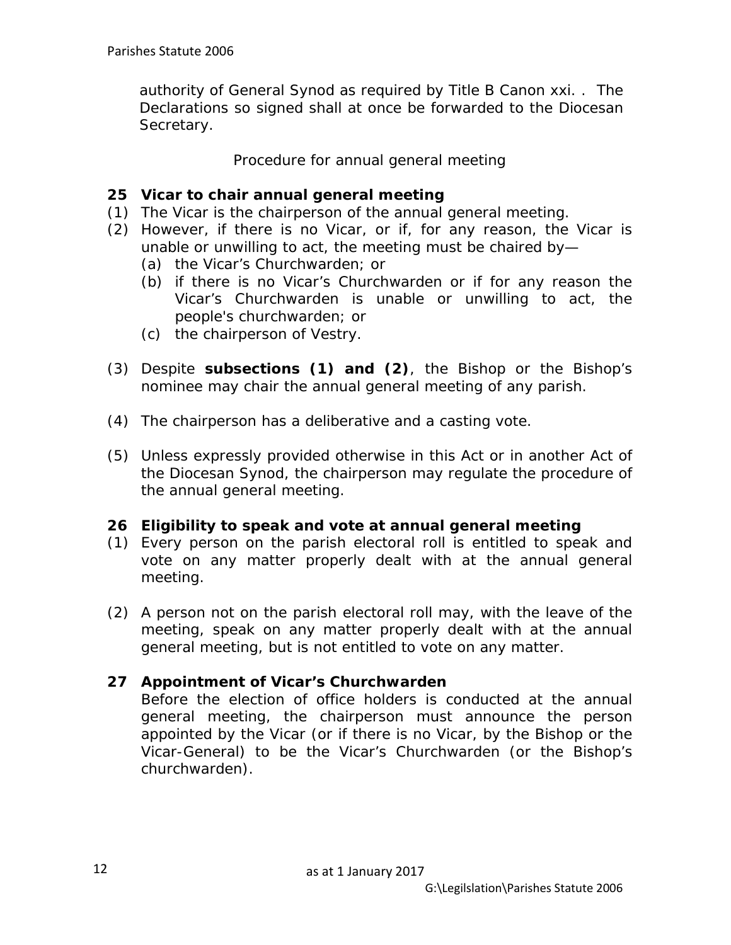authority of General Synod as required by Title B Canon xxi. . The Declarations so signed shall at once be forwarded to the Diocesan Secretary.

*Procedure for annual general meeting*

### **25 Vicar to chair annual general meeting**

- (1) The Vicar is the chairperson of the annual general meeting.
- (2) However, if there is no Vicar, or if, for any reason, the Vicar is unable or unwilling to act, the meeting must be chaired by—
	- (a) the Vicar's Churchwarden; or
	- (b) if there is no Vicar's Churchwarden or if for any reason the Vicar's Churchwarden is unable or unwilling to act, the people's churchwarden; or
	- (c) the chairperson of Vestry.
- (3) Despite **subsections (1) and (2)**, the Bishop or the Bishop's nominee may chair the annual general meeting of any parish.
- (4) The chairperson has a deliberative and a casting vote.
- (5) Unless expressly provided otherwise in this Act or in another Act of the Diocesan Synod, the chairperson may regulate the procedure of the annual general meeting.

#### **26 Eligibility to speak and vote at annual general meeting**

- (1) Every person on the parish electoral roll is entitled to speak and vote on any matter properly dealt with at the annual general meeting.
- (2) A person not on the parish electoral roll may, with the leave of the meeting, speak on any matter properly dealt with at the annual general meeting, but is not entitled to vote on any matter.

#### **27 Appointment of Vicar's Churchwarden**

Before the election of office holders is conducted at the annual general meeting, the chairperson must announce the person appointed by the Vicar (or if there is no Vicar, by the Bishop or the Vicar-General) to be the Vicar's Churchwarden (or the Bishop's churchwarden).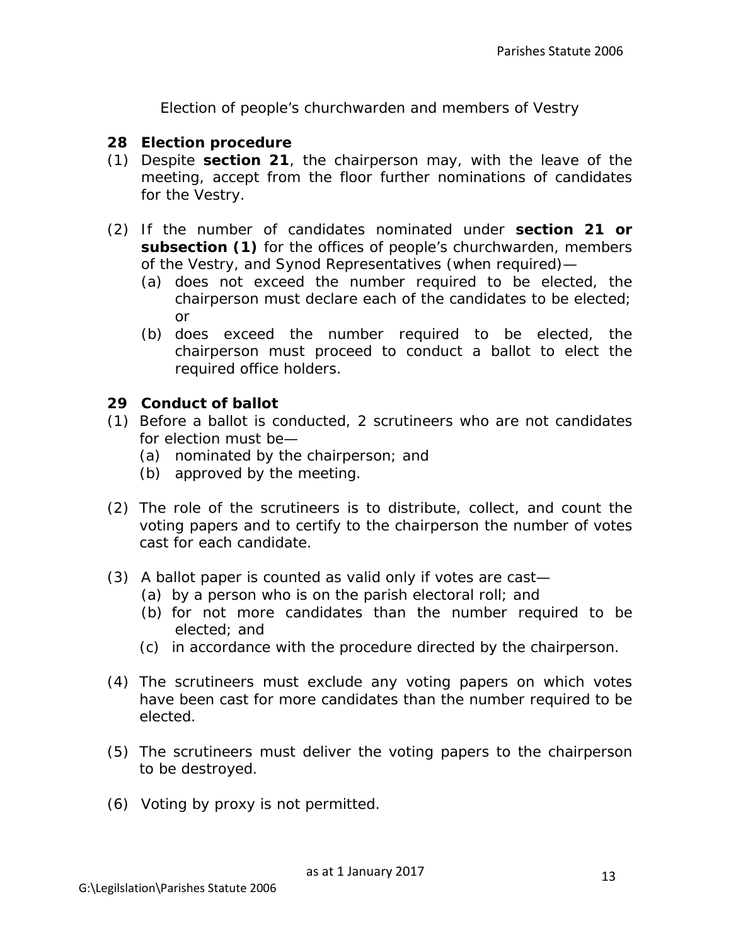*Election of people's churchwarden and members of Vestry*

#### **28 Election procedure**

- (1) Despite **section 21**, the chairperson may, with the leave of the meeting, accept from the floor further nominations of candidates for the Vestry.
- (2) If the number of candidates nominated under **section 21 or subsection (1)** for the offices of people's churchwarden, members of the Vestry, and Synod Representatives (when required)—
	- (a) does not exceed the number required to be elected, the chairperson must declare each of the candidates to be elected; or
	- (b) does exceed the number required to be elected, the chairperson must proceed to conduct a ballot to elect the required office holders.

### **29 Conduct of ballot**

- (1) Before a ballot is conducted, 2 scrutineers who are not candidates for election must be—
	- (a) nominated by the chairperson; and
	- (b) approved by the meeting.
- (2) The role of the scrutineers is to distribute, collect, and count the voting papers and to certify to the chairperson the number of votes cast for each candidate.
- (3) A ballot paper is counted as valid only if votes are cast—
	- (a) by a person who is on the parish electoral roll; and
	- (b) for not more candidates than the number required to be elected; and
	- (c) in accordance with the procedure directed by the chairperson.
- (4) The scrutineers must exclude any voting papers on which votes have been cast for more candidates than the number required to be elected.
- (5) The scrutineers must deliver the voting papers to the chairperson to be destroyed.
- (6) Voting by proxy is not permitted.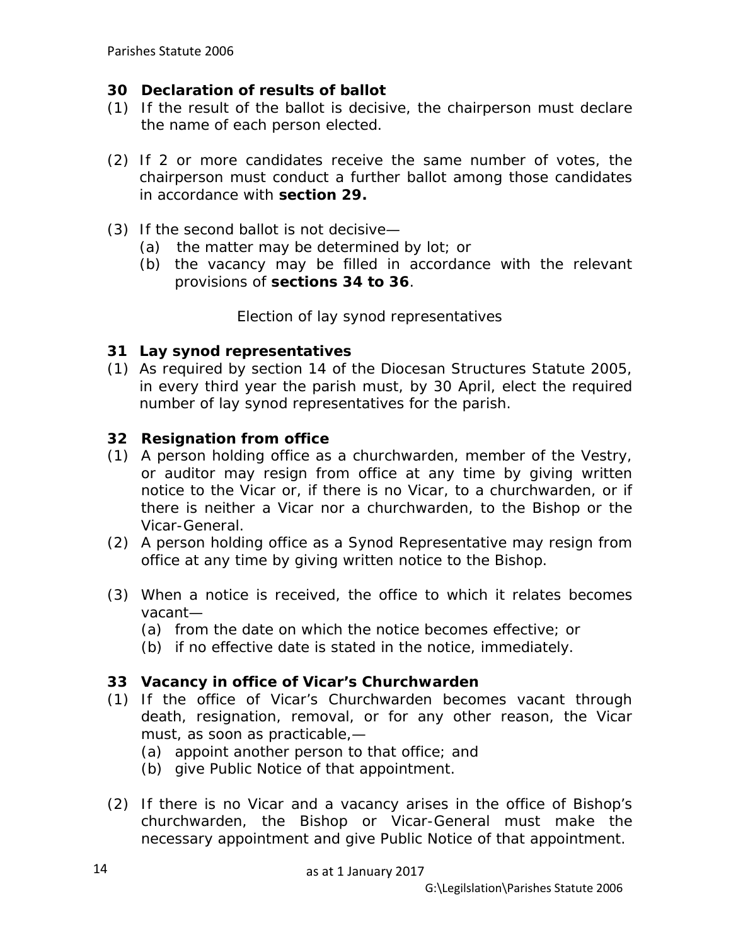### **30 Declaration of results of ballot**

- (1) If the result of the ballot is decisive, the chairperson must declare the name of each person elected.
- (2) If 2 or more candidates receive the same number of votes, the chairperson must conduct a further ballot among those candidates in accordance with **section 29.**
- (3) If the second ballot is not decisive—
	- (a) the matter may be determined by lot; or
	- (b) the vacancy may be filled in accordance with the relevant provisions of **sections 34 to 36**.

*Election of lay synod representatives*

### **31 Lay synod representatives**

(1) As required by section 14 of the Diocesan Structures Statute 2005, in every third year the parish must, by 30 April, elect the required number of lay synod representatives for the parish.

### **32 Resignation from office**

- (1) A person holding office as a churchwarden, member of the Vestry, or auditor may resign from office at any time by giving written notice to the Vicar or, if there is no Vicar, to a churchwarden, or if there is neither a Vicar nor a churchwarden, to the Bishop or the Vicar-General.
- (2) A person holding office as a Synod Representative may resign from office at any time by giving written notice to the Bishop.
- (3) When a notice is received, the office to which it relates becomes vacant—
	- (a) from the date on which the notice becomes effective; or
	- (b) if no effective date is stated in the notice, immediately.

### **33 Vacancy in office of Vicar's Churchwarden**

- (1) If the office of Vicar's Churchwarden becomes vacant through death, resignation, removal, or for any other reason, the Vicar must, as soon as practicable,—
	- (a) appoint another person to that office; and
	- (b) give Public Notice of that appointment.
- (2) If there is no Vicar and a vacancy arises in the office of Bishop's churchwarden, the Bishop or Vicar-General must make the necessary appointment and give Public Notice of that appointment.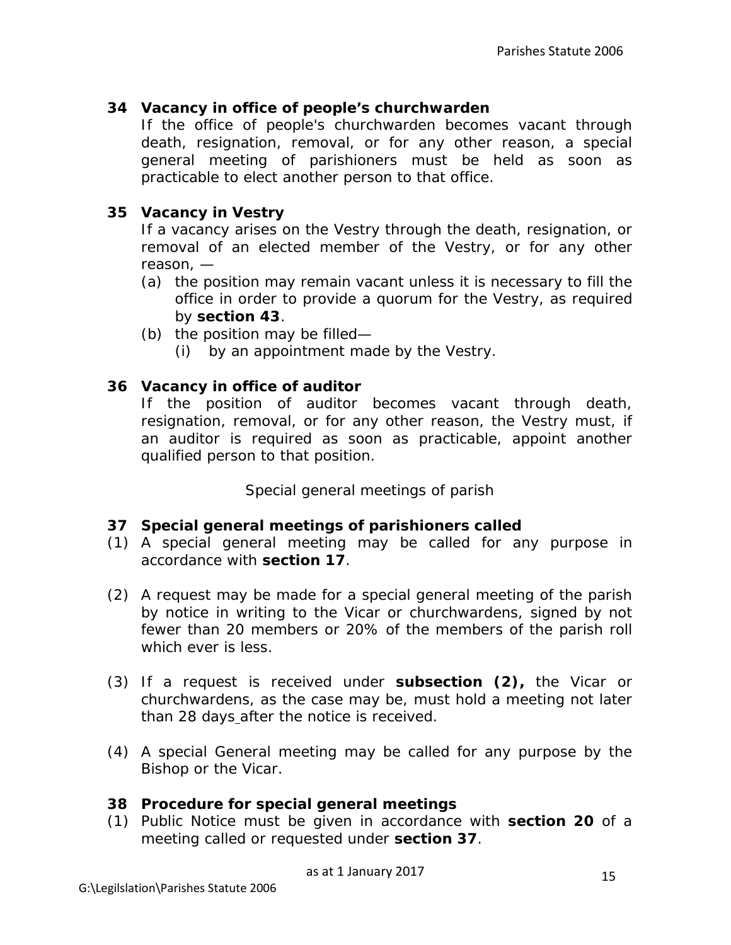### **34 Vacancy in office of people's churchwarden**

If the office of people's churchwarden becomes vacant through death, resignation, removal, or for any other reason, a special general meeting of parishioners must be held as soon as practicable to elect another person to that office.

### **35 Vacancy in Vestry**

If a vacancy arises on the Vestry through the death, resignation, or removal of an elected member of the Vestry, or for any other reason, —

- (a) the position may remain vacant unless it is necessary to fill the office in order to provide a quorum for the Vestry, as required by **section 43**.
- (b) the position may be filled—
	- (i) by an appointment made by the Vestry.

### **36 Vacancy in office of auditor**

If the position of auditor becomes vacant through death, resignation, removal, or for any other reason, the Vestry must, if an auditor is required as soon as practicable, appoint another qualified person to that position.

*Special general meetings of parish*

#### **37 Special general meetings of parishioners called**

- (1) A special general meeting may be called for any purpose in accordance with **section 17**.
- (2) A request may be made for a special general meeting of the parish by notice in writing to the Vicar or churchwardens, signed by not fewer than 20 members or 20% of the members of the parish roll which ever is less.
- (3) If a request is received under **subsection (2),** the Vicar or churchwardens, as the case may be, must hold a meeting not later than 28 days after the notice is received.
- (4) A special General meeting may be called for any purpose by the Bishop or the Vicar.

#### **38 Procedure for special general meetings**

(1) Public Notice must be given in accordance with **section 20** of a meeting called or requested under **section 37**.

as at 1 January 2017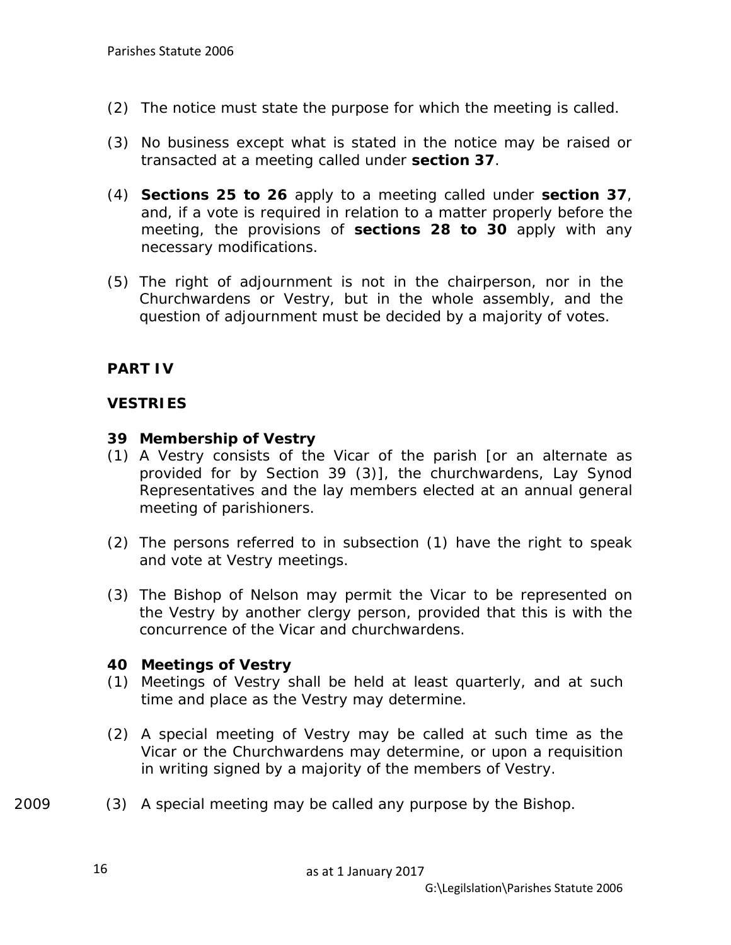- (2) The notice must state the purpose for which the meeting is called.
- (3) No business except what is stated in the notice may be raised or transacted at a meeting called under **section 37**.
- (4) **Sections 25 to 26** apply to a meeting called under **section 37**, and, if a vote is required in relation to a matter properly before the meeting, the provisions of **sections 28 to 30** apply with any necessary modifications.
- (5) The right of adjournment is not in the chairperson, nor in the Churchwardens or Vestry, but in the whole assembly, and the question of adjournment must be decided by a majority of votes.

### **PART IV**

### **VESTRIES**

#### **39 Membership of Vestry**

- (1) A Vestry consists of the Vicar of the parish [or an alternate as provided for by Section 39 (3)], the churchwardens, Lay Synod Representatives and the lay members elected at an annual general meeting of parishioners.
- (2) The persons referred to in subsection (1) have the right to speak and vote at Vestry meetings.
- (3) The Bishop of Nelson may permit the Vicar to be represented on the Vestry by another clergy person, provided that this is with the concurrence of the Vicar and churchwardens.

#### **40 Meetings of Vestry**

- (1) Meetings of Vestry shall be held at least quarterly, and at such time and place as the Vestry may determine.
- (2) A special meeting of Vestry may be called at such time as the Vicar or the Churchwardens may determine, or upon a requisition in writing signed by a majority of the members of Vestry.
- 2009 (3) A special meeting may be called any purpose by the Bishop.

16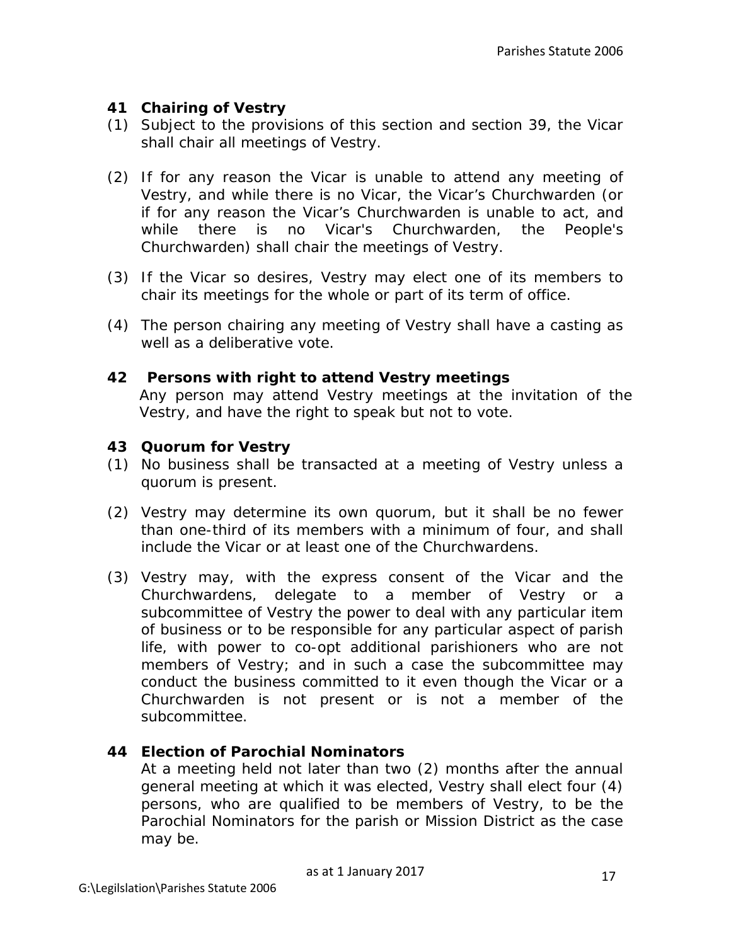## **41 Chairing of Vestry**

- (1) Subject to the provisions of this section and section 39, the Vicar shall chair all meetings of Vestry.
- (2) If for any reason the Vicar is unable to attend any meeting of Vestry, and while there is no Vicar, the Vicar's Churchwarden (or if for any reason the Vicar's Churchwarden is unable to act, and while there is no Vicar's Churchwarden, the People's Churchwarden) shall chair the meetings of Vestry.
- (3) If the Vicar so desires, Vestry may elect one of its members to chair its meetings for the whole or part of its term of office.
- (4) The person chairing any meeting of Vestry shall have a casting as well as a deliberative vote.

### **42 Persons with right to attend Vestry meetings**

Any person may attend Vestry meetings at the invitation of the Vestry, and have the right to speak but not to vote.

### **43 Quorum for Vestry**

- (1) No business shall be transacted at a meeting of Vestry unless a quorum is present.
- (2) Vestry may determine its own quorum, but it shall be no fewer than one-third of its members with a minimum of four, and shall include the Vicar or at least one of the Churchwardens.
- (3) Vestry may, with the express consent of the Vicar and the Churchwardens, delegate to a member of Vestry or a subcommittee of Vestry the power to deal with any particular item of business or to be responsible for any particular aspect of parish life, with power to co-opt additional parishioners who are not members of Vestry; and in such a case the subcommittee may conduct the business committed to it even though the Vicar or a Churchwarden is not present or is not a member of the subcommittee.

### **44 Election of Parochial Nominators**

At a meeting held not later than two (2) months after the annual general meeting at which it was elected, Vestry shall elect four (4) persons, who are qualified to be members of Vestry, to be the Parochial Nominators for the parish or Mission District as the case may be.

as at 1 January 2017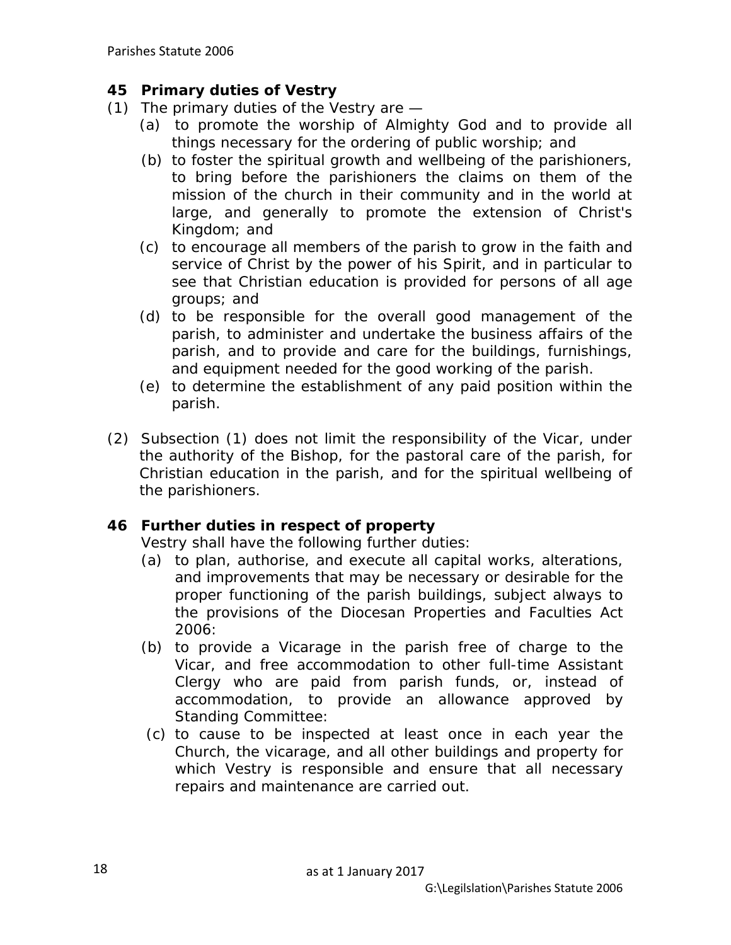### **45 Primary duties of Vestry**

- (1) The primary duties of the Vestry are
	- (a) to promote the worship of Almighty God and to provide all things necessary for the ordering of public worship; and
	- (b) to foster the spiritual growth and wellbeing of the parishioners, to bring before the parishioners the claims on them of the mission of the church in their community and in the world at large, and generally to promote the extension of Christ's Kingdom; and
	- (c) to encourage all members of the parish to grow in the faith and service of Christ by the power of his Spirit, and in particular to see that Christian education is provided for persons of all age groups; and
	- (d) to be responsible for the overall good management of the parish, to administer and undertake the business affairs of the parish, and to provide and care for the buildings, furnishings, and equipment needed for the good working of the parish.
	- (e) to determine the establishment of any paid position within the parish.
- (2) Subsection (1) does not limit the responsibility of the Vicar, under the authority of the Bishop, for the pastoral care of the parish, for Christian education in the parish, and for the spiritual wellbeing of the parishioners.

### **46 Further duties in respect of property**

Vestry shall have the following further duties:

- (a) to plan, authorise, and execute all capital works, alterations, and improvements that may be necessary or desirable for the proper functioning of the parish buildings, subject always to the provisions of the Diocesan Properties and Faculties Act 2006:
- (b) to provide a Vicarage in the parish free of charge to the Vicar, and free accommodation to other full-time Assistant Clergy who are paid from parish funds, or, instead of accommodation, to provide an allowance approved by Standing Committee:
- (c) to cause to be inspected at least once in each year the Church, the vicarage, and all other buildings and property for which Vestry is responsible and ensure that all necessary repairs and maintenance are carried out.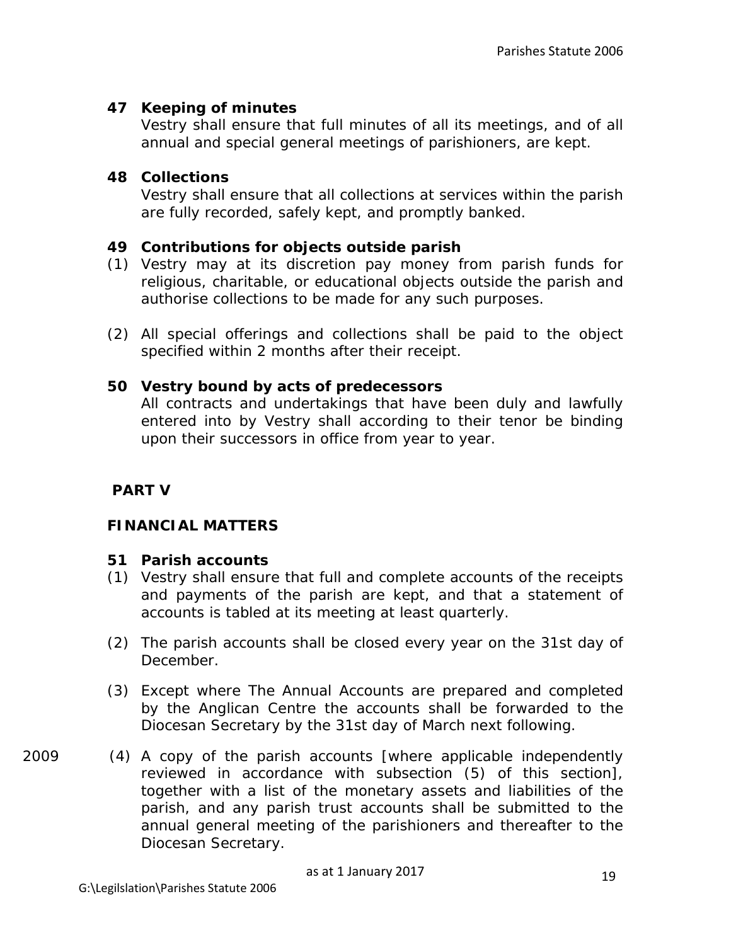### **47 Keeping of minutes**

Vestry shall ensure that full minutes of all its meetings, and of all annual and special general meetings of parishioners, are kept.

#### **48 Collections**

Vestry shall ensure that all collections at services within the parish are fully recorded, safely kept, and promptly banked.

### **49 Contributions for objects outside parish**

- (1) Vestry may at its discretion pay money from parish funds for religious, charitable, or educational objects outside the parish and authorise collections to be made for any such purposes.
- (2) All special offerings and collections shall be paid to the object specified within 2 months after their receipt.

### **50 Vestry bound by acts of predecessors**

All contracts and undertakings that have been duly and lawfully entered into by Vestry shall according to their tenor be binding upon their successors in office from year to year.

### **PART V**

#### **FINANCIAL MATTERS**

#### **51 Parish accounts**

- (1) Vestry shall ensure that full and complete accounts of the receipts and payments of the parish are kept, and that a statement of accounts is tabled at its meeting at least quarterly.
- (2) The parish accounts shall be closed every year on the 31st day of December.
- (3) Except where The Annual Accounts are prepared and completed by the Anglican Centre the accounts shall be forwarded to the Diocesan Secretary by the 31st day of March next following.
- 2009 (4) A copy of the parish accounts [where applicable independently reviewed in accordance with subsection (5) of this section], together with a list of the monetary assets and liabilities of the parish, and any parish trust accounts shall be submitted to the annual general meeting of the parishioners and thereafter to the Diocesan Secretary.

as at 1 January 2017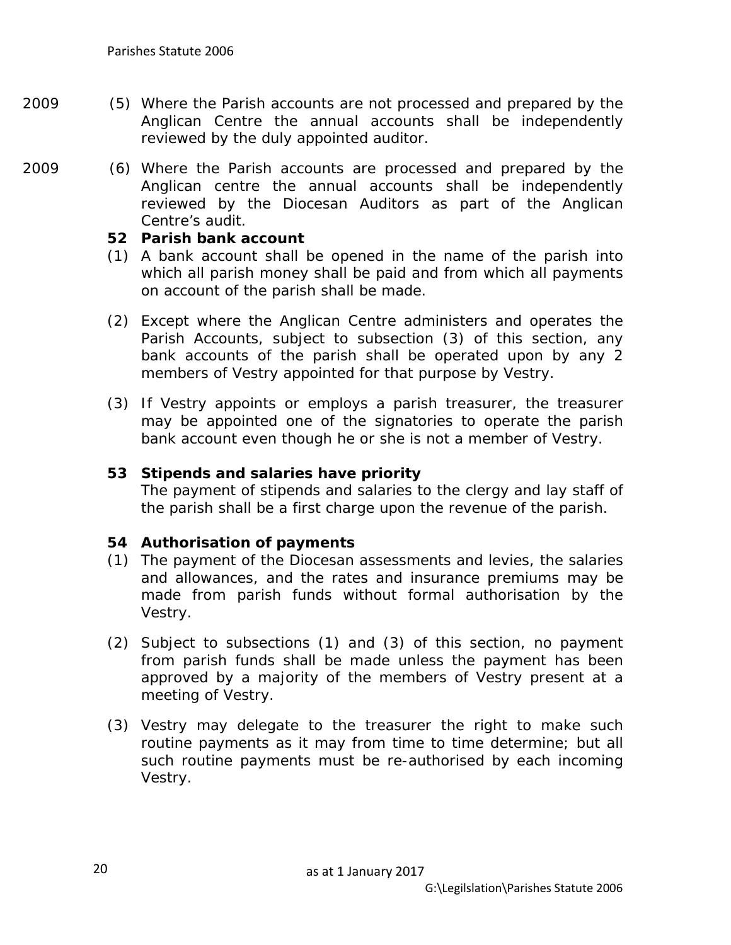- 2009 (5) Where the Parish accounts are not processed and prepared by the Anglican Centre the annual accounts shall be independently reviewed by the duly appointed auditor.
- 2009 (6) Where the Parish accounts are processed and prepared by the Anglican centre the annual accounts shall be independently reviewed by the Diocesan Auditors as part of the Anglican Centre's audit.

#### **52 Parish bank account**

- (1) A bank account shall be opened in the name of the parish into which all parish money shall be paid and from which all payments on account of the parish shall be made.
- (2) Except where the Anglican Centre administers and operates the Parish Accounts, subject to subsection (3) of this section, any bank accounts of the parish shall be operated upon by any 2 members of Vestry appointed for that purpose by Vestry.
- (3) If Vestry appoints or employs a parish treasurer, the treasurer may be appointed one of the signatories to operate the parish bank account even though he or she is not a member of Vestry.

#### **53 Stipends and salaries have priority**

The payment of stipends and salaries to the clergy and lay staff of the parish shall be a first charge upon the revenue of the parish.

#### **54 Authorisation of payments**

- (1) The payment of the Diocesan assessments and levies, the salaries and allowances, and the rates and insurance premiums may be made from parish funds without formal authorisation by the Vestry.
- (2) Subject to subsections (1) and (3) of this section, no payment from parish funds shall be made unless the payment has been approved by a majority of the members of Vestry present at a meeting of Vestry.
- (3) Vestry may delegate to the treasurer the right to make such routine payments as it may from time to time determine; but all such routine payments must be re-authorised by each incoming Vestry.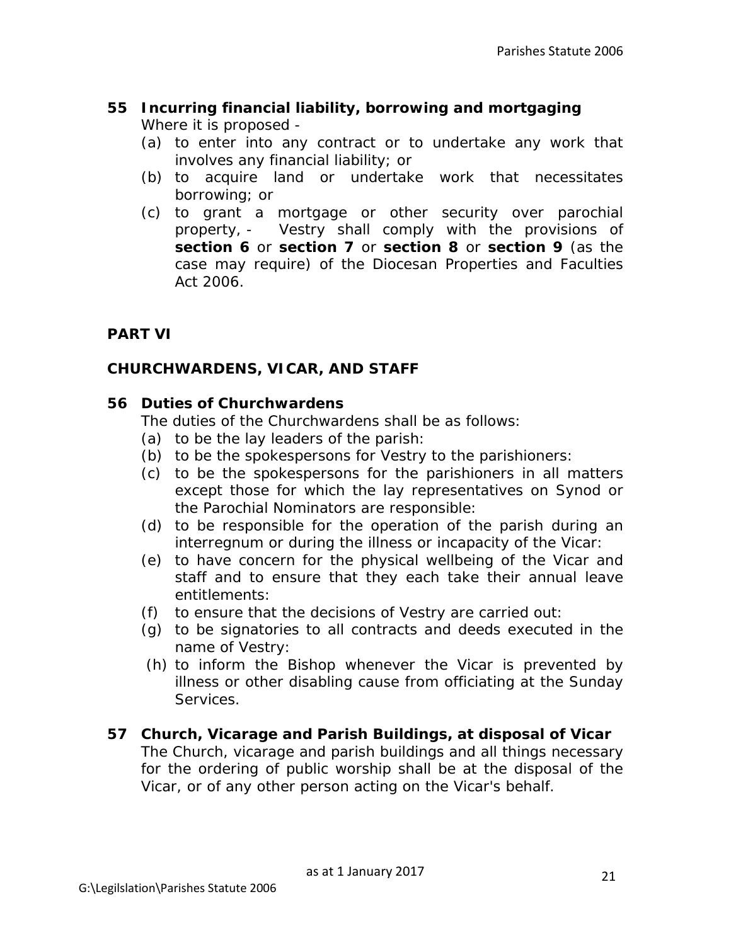### **55 Incurring financial liability, borrowing and mortgaging** Where it is proposed -

- (a) to enter into any contract or to undertake any work that involves any financial liability; or
- (b) to acquire land or undertake work that necessitates borrowing; or
- (c) to grant a mortgage or other security over parochial property, - Vestry shall comply with the provisions of **section 6** or **section 7** or **section 8** or **section 9** (as the case may require) of the Diocesan Properties and Faculties Act 2006.

# **PART VI**

## **CHURCHWARDENS, VICAR, AND STAFF**

### **56 Duties of Churchwardens**

The duties of the Churchwardens shall be as follows:

- (a) to be the lay leaders of the parish:
- (b) to be the spokespersons for Vestry to the parishioners:
- (c) to be the spokespersons for the parishioners in all matters except those for which the lay representatives on Synod or the Parochial Nominators are responsible:
- (d) to be responsible for the operation of the parish during an interregnum or during the illness or incapacity of the Vicar:
- (e) to have concern for the physical wellbeing of the Vicar and staff and to ensure that they each take their annual leave entitlements:
- (f) to ensure that the decisions of Vestry are carried out:
- (g) to be signatories to all contracts and deeds executed in the name of Vestry:
- (h) to inform the Bishop whenever the Vicar is prevented by illness or other disabling cause from officiating at the Sunday Services.

### **57 Church, Vicarage and Parish Buildings, at disposal of Vicar**

The Church, vicarage and parish buildings and all things necessary for the ordering of public worship shall be at the disposal of the Vicar, or of any other person acting on the Vicar's behalf.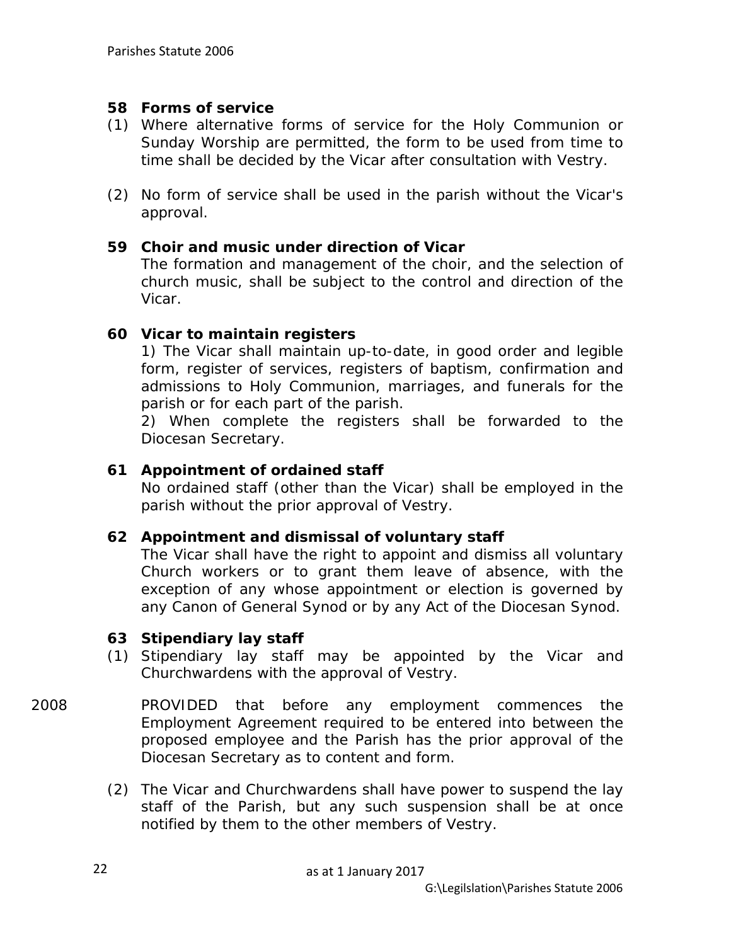#### **58 Forms of service**

- (1) Where alternative forms of service for the Holy Communion or Sunday Worship are permitted, the form to be used from time to time shall be decided by the Vicar after consultation with Vestry.
- (2) No form of service shall be used in the parish without the Vicar's approval.

### **59 Choir and music under direction of Vicar**

The formation and management of the choir, and the selection of church music, shall be subject to the control and direction of the Vicar.

### **60 Vicar to maintain registers**

1) The Vicar shall maintain up-to-date, in good order and legible form, register of services, registers of baptism, confirmation and admissions to Holy Communion, marriages, and funerals for the parish or for each part of the parish.

2) When complete the registers shall be forwarded to the Diocesan Secretary.

### **61 Appointment of ordained staff**

No ordained staff (other than the Vicar) shall be employed in the parish without the prior approval of Vestry.

#### **62 Appointment and dismissal of voluntary staff**

The Vicar shall have the right to appoint and dismiss all voluntary Church workers or to grant them leave of absence, with the exception of any whose appointment or election is governed by any Canon of General Synod or by any Act of the Diocesan Synod.

#### **63 Stipendiary lay staff**

- (1) Stipendiary lay staff may be appointed by the Vicar and Churchwardens with the approval of Vestry.
- 2008 PROVIDED that before any employment commences the Employment Agreement required to be entered into between the proposed employee and the Parish has the prior approval of the Diocesan Secretary as to content and form.
	- (2) The Vicar and Churchwardens shall have power to suspend the lay staff of the Parish, but any such suspension shall be at once notified by them to the other members of Vestry.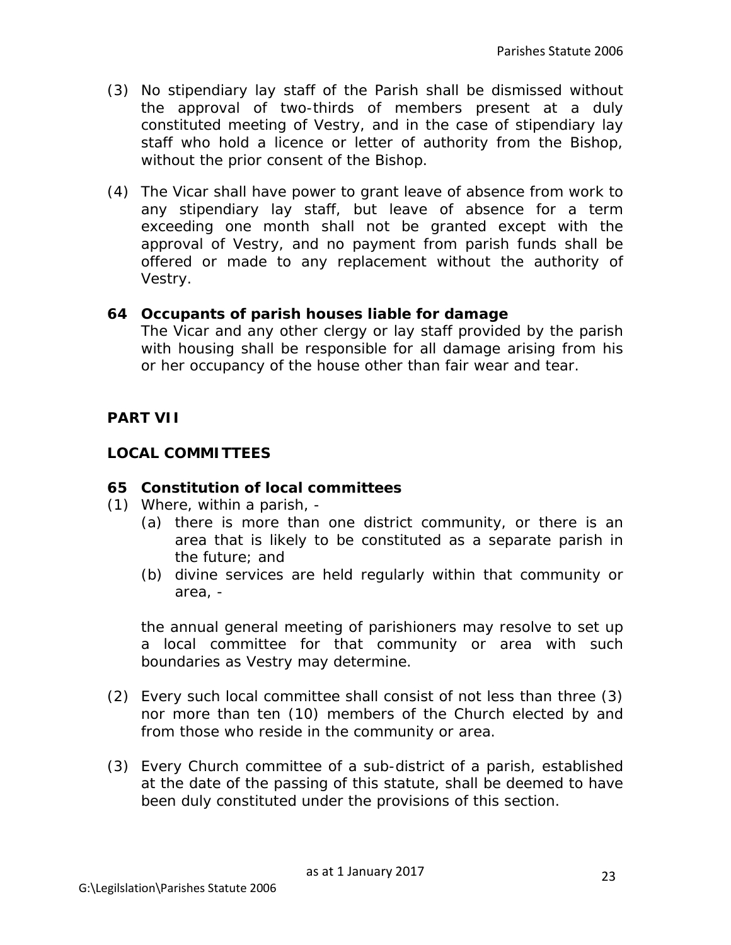- (3) No stipendiary lay staff of the Parish shall be dismissed without the approval of two-thirds of members present at a duly constituted meeting of Vestry, and in the case of stipendiary lay staff who hold a licence or letter of authority from the Bishop, without the prior consent of the Bishop.
- (4) The Vicar shall have power to grant leave of absence from work to any stipendiary lay staff, but leave of absence for a term exceeding one month shall not be granted except with the approval of Vestry, and no payment from parish funds shall be offered or made to any replacement without the authority of Vestry.

#### **64 Occupants of parish houses liable for damage**

The Vicar and any other clergy or lay staff provided by the parish with housing shall be responsible for all damage arising from his or her occupancy of the house other than fair wear and tear.

#### **PART VII**

#### **LOCAL COMMITTEES**

#### **65 Constitution of local committees**

- (1) Where, within a parish,
	- (a) there is more than one district community, or there is an area that is likely to be constituted as a separate parish in the future; and
	- (b) divine services are held regularly within that community or area, -

the annual general meeting of parishioners may resolve to set up a local committee for that community or area with such boundaries as Vestry may determine.

- (2) Every such local committee shall consist of not less than three (3) nor more than ten (10) members of the Church elected by and from those who reside in the community or area.
- (3) Every Church committee of a sub-district of a parish, established at the date of the passing of this statute, shall be deemed to have been duly constituted under the provisions of this section.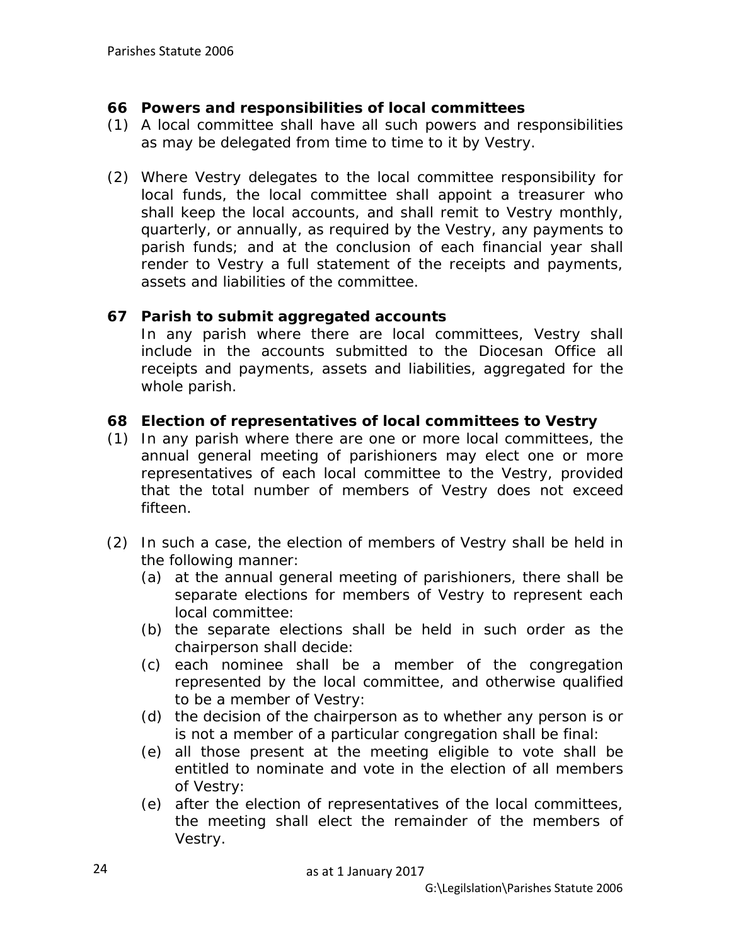#### **66 Powers and responsibilities of local committees**

- (1) A local committee shall have all such powers and responsibilities as may be delegated from time to time to it by Vestry.
- (2) Where Vestry delegates to the local committee responsibility for local funds, the local committee shall appoint a treasurer who shall keep the local accounts, and shall remit to Vestry monthly, quarterly, or annually, as required by the Vestry, any payments to parish funds; and at the conclusion of each financial year shall render to Vestry a full statement of the receipts and payments, assets and liabilities of the committee.

#### **67 Parish to submit aggregated accounts**

In any parish where there are local committees, Vestry shall include in the accounts submitted to the Diocesan Office all receipts and payments, assets and liabilities, aggregated for the whole parish.

### **68 Election of representatives of local committees to Vestry**

- (1) In any parish where there are one or more local committees, the annual general meeting of parishioners may elect one or more representatives of each local committee to the Vestry, provided that the total number of members of Vestry does not exceed fifteen.
- (2) In such a case, the election of members of Vestry shall be held in the following manner:
	- (a) at the annual general meeting of parishioners, there shall be separate elections for members of Vestry to represent each local committee:
	- (b) the separate elections shall be held in such order as the chairperson shall decide:
	- (c) each nominee shall be a member of the congregation represented by the local committee, and otherwise qualified to be a member of Vestry:
	- (d) the decision of the chairperson as to whether any person is or is not a member of a particular congregation shall be final:
	- (e) all those present at the meeting eligible to vote shall be entitled to nominate and vote in the election of all members of Vestry:
	- (e) after the election of representatives of the local committees, the meeting shall elect the remainder of the members of Vestry.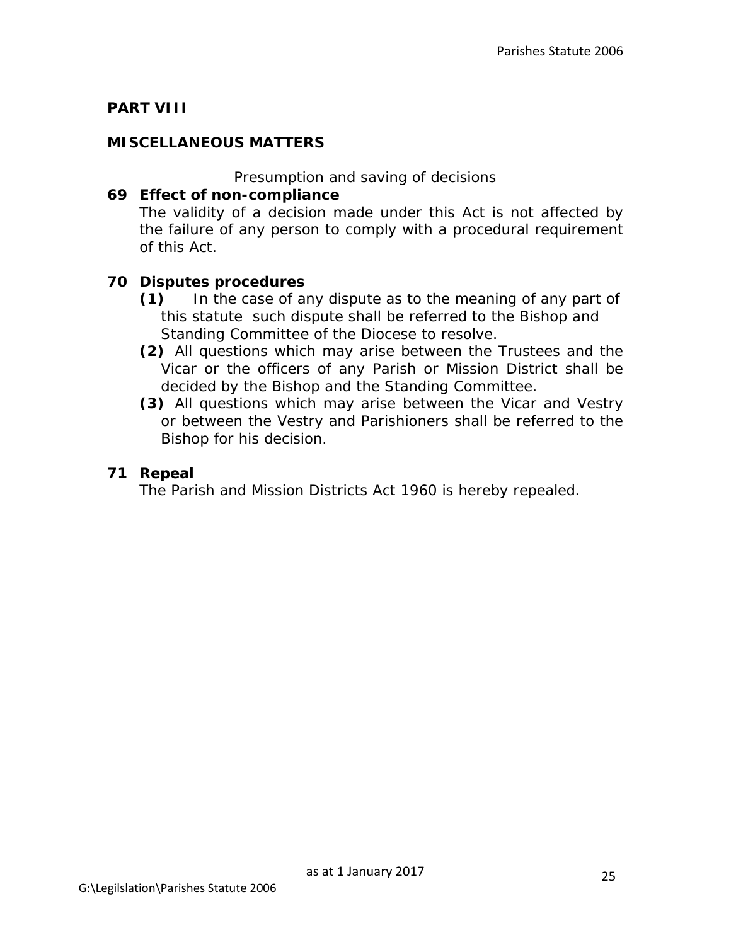# **PART VIII**

### **MISCELLANEOUS MATTERS**

*Presumption and saving of decisions*

#### **69 Effect of non-compliance**

The validity of a decision made under this Act is not affected by the failure of any person to comply with a procedural requirement of this Act.

### **70 Disputes procedures**

- **(1)** In the case of any dispute as to the meaning of any part of this statute such dispute shall be referred to the Bishop and Standing Committee of the Diocese to resolve.
- **(2)** All questions which may arise between the Trustees and the Vicar or the officers of any Parish or Mission District shall be decided by the Bishop and the Standing Committee.
- **(3)** All questions which may arise between the Vicar and Vestry or between the Vestry and Parishioners shall be referred to the Bishop for his decision.

#### **71 Repeal**

The Parish and Mission Districts Act 1960 is hereby repealed.